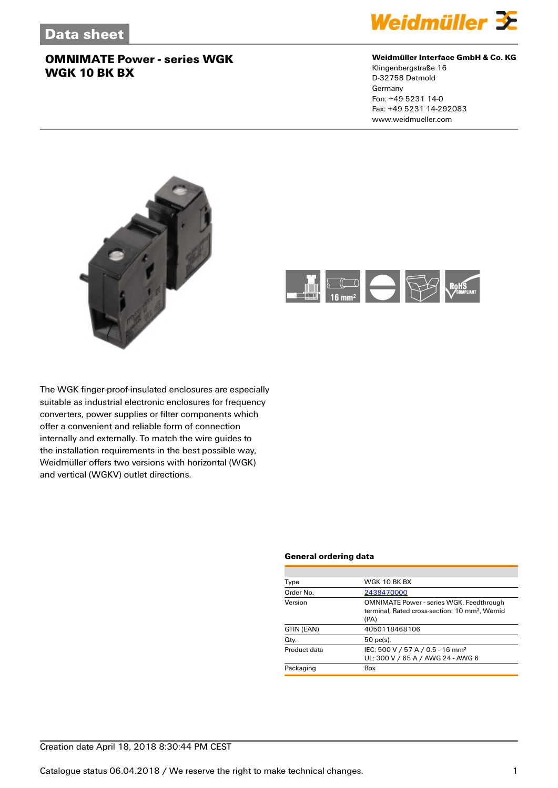

### **Weidmüller Interface GmbH & Co. KG**

Klingenbergstraße 16 D-32758 Detmold Germany Fon: +49 5231 14-0 Fax: +49 5231 14-292083 www.weidmueller.com





The WGK finger-proof-insulated enclosures are especially suitable as industrial electronic enclosures for frequency converters, power supplies or filter components which offer a convenient and reliable form of connection internally and externally. To match the wire guides to the installation requirements in the best possible way, Weidmüller offers two versions with horizontal (WGK) and vertical (WGKV) outlet directions.

#### **General ordering data**

| Type         | WGK 10 BK BX                                                                                                         |
|--------------|----------------------------------------------------------------------------------------------------------------------|
| Order No.    | 2439470000                                                                                                           |
| Version      | <b>OMNIMATE Power - series WGK, Feedthrough</b><br>terminal, Rated cross-section: 10 mm <sup>2</sup> , Wemid<br>(PA) |
| GTIN (EAN)   | 4050118468106                                                                                                        |
| Qty.         | $50$ pc(s).                                                                                                          |
| Product data | IEC: 500 V / 57 A / 0.5 - 16 mm <sup>2</sup><br>UL: 300 V / 65 A / AWG 24 - AWG 6                                    |
| Packaging    | Box                                                                                                                  |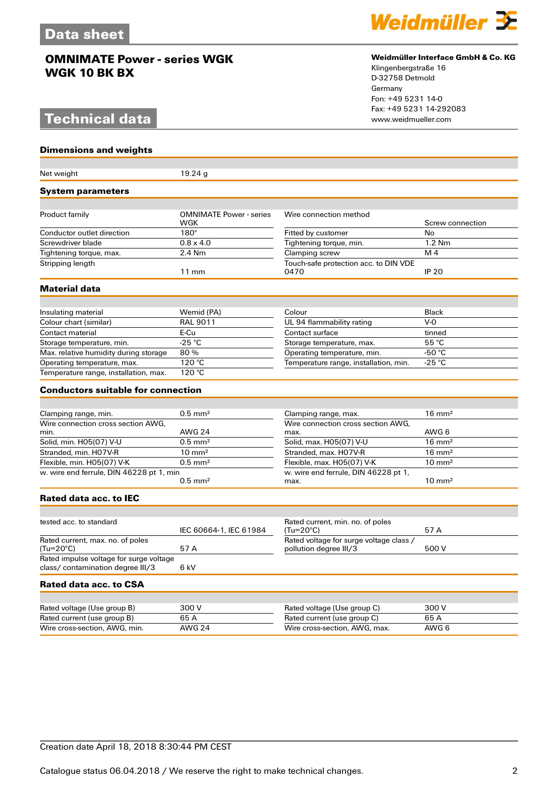# **Technical data**

**Dimensions and weights**



#### **Weidmüller Interface GmbH & Co. KG**

Klingenbergstraße 16 D-32758 Detmold Germany Fon: +49 5231 14-0 Fax: +49 5231 14-292083

| Net weight                                                           | 19.24g                         |                                                            |                   |
|----------------------------------------------------------------------|--------------------------------|------------------------------------------------------------|-------------------|
| <b>System parameters</b>                                             |                                |                                                            |                   |
| Product family                                                       | <b>OMNIMATE Power - series</b> | Wire connection method                                     |                   |
|                                                                      | WGK                            |                                                            | Screw connection  |
| Conductor outlet direction                                           | $180^\circ$                    | Fitted by customer                                         | No                |
| Screwdriver blade                                                    | $0.8 \times 4.0$               | Tightening torque, min.                                    | $1.2$ Nm          |
| Tightening torque, max.                                              | 2.4 Nm                         | Clamping screw                                             | M <sub>4</sub>    |
| Stripping length                                                     | $11 \text{ mm}$                | Touch-safe protection acc. to DIN VDE<br>0470              | <b>IP 20</b>      |
| <b>Material data</b>                                                 |                                |                                                            |                   |
|                                                                      |                                |                                                            |                   |
| Insulating material                                                  | Wemid (PA)                     | Colour                                                     | <b>Black</b>      |
| Colour chart (similar)                                               | <b>RAL 9011</b>                | UL 94 flammability rating                                  | $V - Q$           |
| Contact material                                                     | E-Cu                           | Contact surface                                            | tinned            |
| Storage temperature, min.                                            | $-25$ °C                       | Storage temperature, max.                                  | 55 °C             |
| Max. relative humidity during storage                                | 80%<br>120 °C                  | Operating temperature, min.                                | -50 $^{\circ}$ C  |
| Operating temperature, max.<br>Temperature range, installation, max. | $\overline{120}$ °C            | Temperature range, installation, min.                      | -25 °C            |
|                                                                      |                                |                                                            |                   |
| <b>Conductors suitable for connection</b>                            |                                |                                                            |                   |
|                                                                      |                                |                                                            |                   |
| Clamping range, min.<br>Wire connection cross section AWG.           | $0.5$ mm <sup>2</sup>          | Clamping range, max.<br>Wire connection cross section AWG. | $16 \text{ mm}^2$ |
| min.                                                                 | <b>AWG 24</b>                  | max.                                                       | AWG 6             |
| Solid, min. H05(07) V-U                                              | $0.5$ mm <sup>2</sup>          | Solid, max. H05(07) V-U                                    | $16 \text{ mm}^2$ |
| Stranded, min. H07V-R                                                | $10 \text{ mm}^2$              | Stranded, max. H07V-R                                      | $16 \text{ mm}^2$ |
| Flexible, min. H05(07) V-K                                           | $0.5$ mm <sup>2</sup>          | Flexible, max. H05(07) V-K                                 | $10 \text{ mm}^2$ |
| w. wire end ferrule, DIN 46228 pt 1, min                             |                                | w. wire end ferrule, DIN 46228 pt 1,                       |                   |
|                                                                      | $0.5$ mm <sup>2</sup>          | max.                                                       | $10 \text{ mm}^2$ |
| <b>Rated data acc. to IEC</b>                                        |                                |                                                            |                   |
|                                                                      |                                |                                                            |                   |
| tested acc. to standard                                              | IEC 60664-1, IEC 61984         | Rated current, min. no. of poles<br>$(Tu=20^{\circ}C)$     | 57 A              |
| Rated current, max. no. of poles                                     |                                | Rated voltage for surge voltage class /                    |                   |
| (Tu=20°C)                                                            | 57 A                           | pollution degree III/3                                     | 500 V             |
| Rated impulse voltage for surge voltage                              |                                |                                                            |                   |
| class/contamination degree III/3                                     | 6 kV                           |                                                            |                   |
| Rated data acc. to CSA                                               |                                |                                                            |                   |
|                                                                      |                                |                                                            |                   |
| Rated voltage (Use group B)                                          | 300 V                          | Rated voltage (Use group C)                                | 300 V             |
| Rated current (use group B)                                          | 65 A                           | Rated current (use group C)                                | 65 A              |
| Wire cross-section, AWG, min.                                        | <b>AWG 24</b>                  | Wire cross-section, AWG, max.                              | AWG 6             |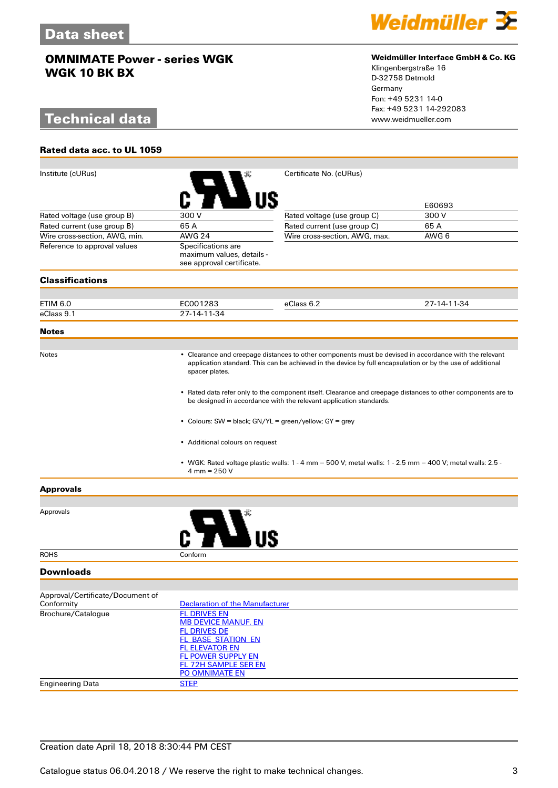# **Technical data**

**Rated data acc. to UL 1059**



### **Weidmüller Interface GmbH & Co. KG**

Klingenbergstraße 16 D-32758 Detmold Germany Fon: +49 5231 14-0 Fax: +49 5231 14-292083

| Institute (cURus)                |                                                          | Certificate No. (cURus)                                                                                                                                                                                              |                 |  |
|----------------------------------|----------------------------------------------------------|----------------------------------------------------------------------------------------------------------------------------------------------------------------------------------------------------------------------|-----------------|--|
|                                  |                                                          |                                                                                                                                                                                                                      |                 |  |
|                                  |                                                          |                                                                                                                                                                                                                      |                 |  |
| Rated voltage (use group B)      | 300 V                                                    | Rated voltage (use group C)                                                                                                                                                                                          | E60693<br>300 V |  |
| Rated current (use group B)      | 65 A                                                     | Rated current (use group C)                                                                                                                                                                                          | 65A             |  |
| Wire cross-section, AWG, min.    | <b>AWG 24</b>                                            | Wire cross-section, AWG, max.                                                                                                                                                                                        | AWG 6           |  |
| Reference to approval values     | Specifications are                                       |                                                                                                                                                                                                                      |                 |  |
|                                  | maximum values, details -                                |                                                                                                                                                                                                                      |                 |  |
|                                  | see approval certificate.                                |                                                                                                                                                                                                                      |                 |  |
| <b>Classifications</b>           |                                                          |                                                                                                                                                                                                                      |                 |  |
|                                  |                                                          |                                                                                                                                                                                                                      |                 |  |
| ETIM 6.0                         | EC001283                                                 | eClass 6.2                                                                                                                                                                                                           | 27-14-11-34     |  |
| eClass 9.1                       | 27-14-11-34                                              |                                                                                                                                                                                                                      |                 |  |
| <b>Notes</b>                     |                                                          |                                                                                                                                                                                                                      |                 |  |
|                                  |                                                          |                                                                                                                                                                                                                      |                 |  |
| Notes                            |                                                          | • Clearance and creepage distances to other components must be devised in accordance with the relevant<br>application standard. This can be achieved in the device by full encapsulation or by the use of additional |                 |  |
|                                  | spacer plates.                                           |                                                                                                                                                                                                                      |                 |  |
|                                  |                                                          |                                                                                                                                                                                                                      |                 |  |
|                                  |                                                          | • Rated data refer only to the component itself. Clearance and creepage distances to other components are to                                                                                                         |                 |  |
|                                  |                                                          | be designed in accordance with the relevant application standards.                                                                                                                                                   |                 |  |
|                                  |                                                          |                                                                                                                                                                                                                      |                 |  |
|                                  | • Colours: SW = black; GN/YL = green/yellow; GY = grey   |                                                                                                                                                                                                                      |                 |  |
|                                  |                                                          |                                                                                                                                                                                                                      |                 |  |
|                                  | • Additional colours on request                          |                                                                                                                                                                                                                      |                 |  |
|                                  |                                                          | • WGK: Rated voltage plastic walls: $1 - 4$ mm = 500 V; metal walls: $1 - 2.5$ mm = 400 V; metal walls: 2.5 -                                                                                                        |                 |  |
|                                  | $4 \text{ mm} = 250 \text{ V}$                           |                                                                                                                                                                                                                      |                 |  |
| <b>Approvals</b>                 |                                                          |                                                                                                                                                                                                                      |                 |  |
|                                  |                                                          |                                                                                                                                                                                                                      |                 |  |
| Approvals                        |                                                          |                                                                                                                                                                                                                      |                 |  |
|                                  |                                                          |                                                                                                                                                                                                                      |                 |  |
|                                  |                                                          |                                                                                                                                                                                                                      |                 |  |
|                                  |                                                          |                                                                                                                                                                                                                      |                 |  |
| <b>ROHS</b>                      | Conform                                                  |                                                                                                                                                                                                                      |                 |  |
| <b>Downloads</b>                 |                                                          |                                                                                                                                                                                                                      |                 |  |
|                                  |                                                          |                                                                                                                                                                                                                      |                 |  |
| Approval/Certificate/Document of |                                                          |                                                                                                                                                                                                                      |                 |  |
| Conformity                       | <b>Declaration of the Manufacturer</b>                   |                                                                                                                                                                                                                      |                 |  |
| Brochure/Catalogue               | <b>FL DRIVES EN</b><br><b>MB DEVICE MANUF. EN</b>        |                                                                                                                                                                                                                      |                 |  |
|                                  | <b>FL DRIVES DE</b>                                      |                                                                                                                                                                                                                      |                 |  |
|                                  | <b>FL_BASE_STATION_EN</b>                                |                                                                                                                                                                                                                      |                 |  |
|                                  | <b>FL ELEVATOR EN</b>                                    |                                                                                                                                                                                                                      |                 |  |
|                                  | <b>FL POWER SUPPLY EN</b><br><b>FL 72H SAMPLE SER EN</b> |                                                                                                                                                                                                                      |                 |  |
|                                  | PO OMNIMATE EN                                           |                                                                                                                                                                                                                      |                 |  |
| <b>Engineering Data</b>          | <b>STEP</b>                                              |                                                                                                                                                                                                                      |                 |  |
|                                  |                                                          |                                                                                                                                                                                                                      |                 |  |

### Creation date April 18, 2018 8:30:44 PM CEST

Catalogue status 06.04.2018 / We reserve the right to make technical changes. 33